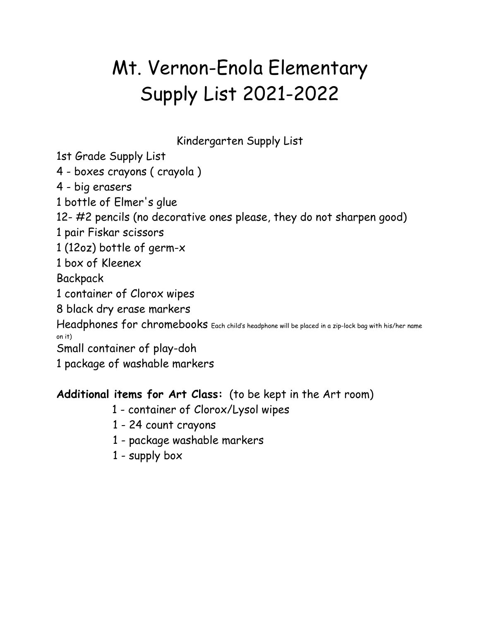# Mt. Vernon-Enola Elementary Supply List 2021-2022

Kindergarten Supply List

1st Grade Supply List

4 - boxes crayons ( crayola )

4 - big erasers

1 bottle of Elmer's glue

12- #2 pencils (no decorative ones please, they do not sharpen good)

1 pair Fiskar scissors

1 (12oz) bottle of germ-x

1 box of Kleenex

Backpack

1 container of Clorox wipes

8 black dry erase markers

Headphones for chromebooks Each child's headphone will be placed in a zip-lock bag with his/her name on it)

Small container of play-doh

1 package of washable markers

# **Additional items for Art Class:** (to be kept in the Art room)

- 1 container of Clorox/Lysol wipes
- 1 24 count crayons
- 1 package washable markers
- 1 supply box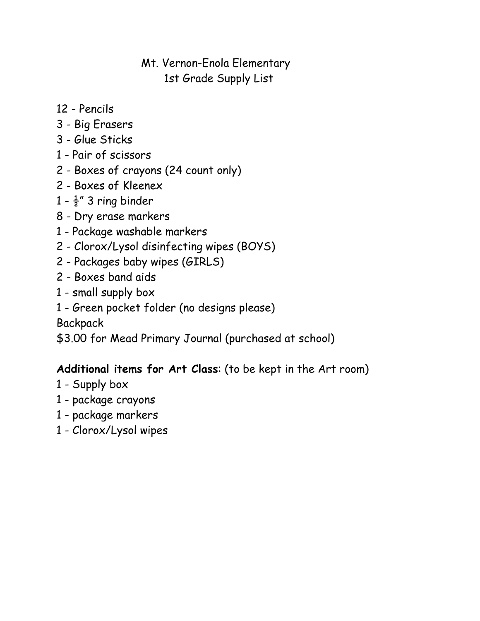# Mt. Vernon-Enola Elementary 1st Grade Supply List

- Pencils
- Big Erasers
- Glue Sticks
- Pair of scissors
- Boxes of crayons (24 count only)
- Boxes of Kleenex
- $1 \frac{1}{2}$ " 3 ring binder
- Dry erase markers
- Package washable markers
- Clorox/Lysol disinfecting wipes (BOYS)
- Packages baby wipes (GIRLS)
- Boxes band aids
- small supply box
- Green pocket folder (no designs please)

**Backpack** 

\$3.00 for Mead Primary Journal (purchased at school)

# **Additional items for Art Class**: (to be kept in the Art room)

- Supply box
- package crayons
- package markers
- Clorox/Lysol wipes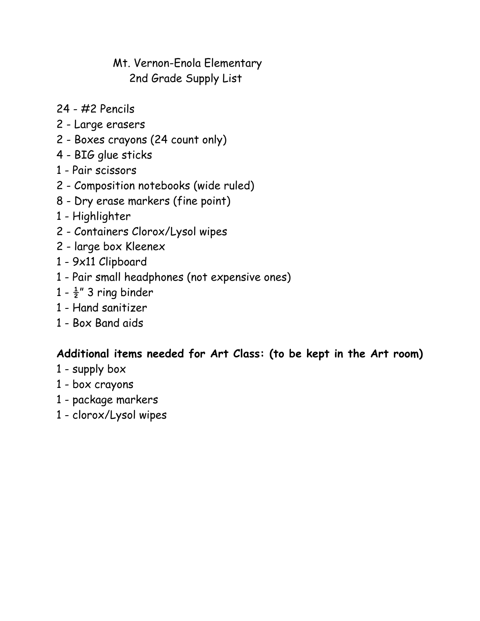### Mt. Vernon-Enola Elementary 2nd Grade Supply List

- #2 Pencils
- Large erasers
- Boxes crayons (24 count only)
- BIG glue sticks
- Pair scissors
- Composition notebooks (wide ruled)
- Dry erase markers (fine point)
- Highlighter
- Containers Clorox/Lysol wipes
- large box Kleenex
- 9x11 Clipboard
- Pair small headphones (not expensive ones)
- $1 \frac{1}{2}$ " 3 ring binder
- Hand sanitizer
- Box Band aids

# **Additional items needed for Art Class: (to be kept in the Art room)**

- supply box
- box crayons
- package markers
- clorox/Lysol wipes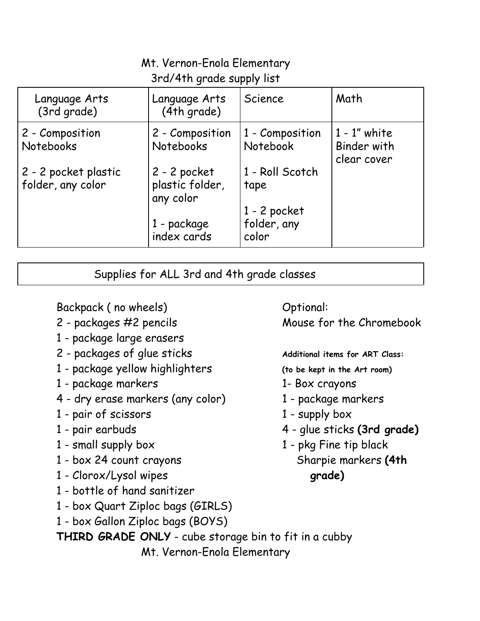# Mt. Vernon-Enola Elementary

# 3rd/4th grade supply list

| Language Arts<br>(3rd grade)              | Language Arts<br>(4th grade)                 | Science                                | Math                                          |
|-------------------------------------------|----------------------------------------------|----------------------------------------|-----------------------------------------------|
| 2 - Composition<br>Notebooks              | 2 - Composition<br><b>Notebooks</b>          | 1 - Composition<br>Notebook            | $1 - 1$ " white<br>Binder with<br>clear cover |
| 2 - 2 pocket plastic<br>folder, any color | 2 - 2 pocket<br>plastic folder,<br>any color | 1 - Roll Scotch<br>tape                |                                               |
|                                           | 1 - package<br>index cards                   | $1 - 2$ pocket<br>folder, any<br>color |                                               |

# Supplies for ALL 3rd and 4th grade classes

Backpack (no wheels) Christian Continual:

- 
- 1 package large erasers
- 2 packages of glue sticks **Additional items for ART Class:**
- 1 package yellow highlighters **(to be kept in the Art room)**
- 1 package markers 1- Box crayons
- 4 dry erase markers (any color) 1 package markers
- 1 pair of scissors 1 supply box
- 
- 
- 1 box 24 count crayons Sharpie markers **(4th**
- 1 Clorox/Lysol wipes **grade)**
- 1 bottle of hand sanitizer
- 1 box Quart Ziploc bags (GIRLS)
- 1 box Gallon Ziploc bags (BOYS)

**THIRD GRADE ONLY** - cube storage bin to fit in a cubby

Mt. Vernon-Enola Elementary

2 - packages #2 pencils Mouse for the Chromebook

- 
- 
- 
- 1 pair earbuds 4 glue sticks **(3rd grade)**
- 1 small supply box 1 pkg Fine tip black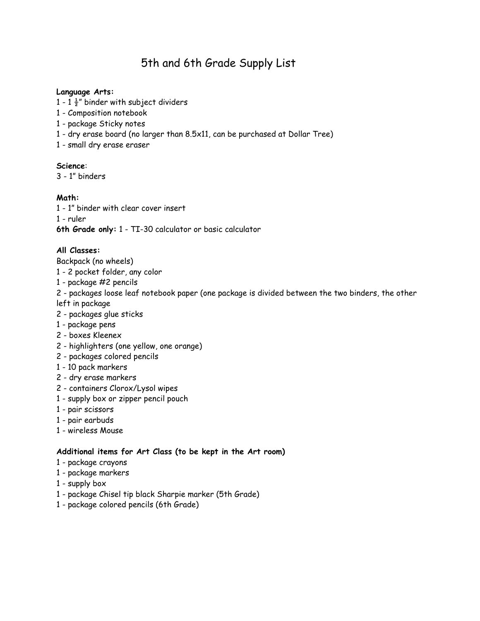### 5th and 6th Grade Supply List

### **Language Arts:**

- 1 1 $\frac{1}{2}$ " binder with subject dividers
- Composition notebook
- package Sticky notes
- dry erase board (no larger than 8.5x11, can be purchased at Dollar Tree)
- small dry erase eraser

### **Science**:

- 1" binders

### **Math:**

- 1" binder with clear cover insert

- ruler

**6th Grade only:** 1 - TI-30 calculator or basic calculator

### **All Classes:**

Backpack (no wheels)

- 2 pocket folder, any color
- package #2 pencils

 - packages loose leaf notebook paper (one package is divided between the two binders, the other left in package

- packages glue sticks
- package pens
- boxes Kleenex
- highlighters (one yellow, one orange)
- packages colored pencils
- 10 pack markers
- dry erase markers
- containers Clorox/Lysol wipes
- supply box or zipper pencil pouch
- pair scissors
- pair earbuds
- wireless Mouse

### **Additional items for Art Class (to be kept in the Art room)**

- package crayons
- package markers
- supply box
- package Chisel tip black Sharpie marker (5th Grade)
- package colored pencils (6th Grade)